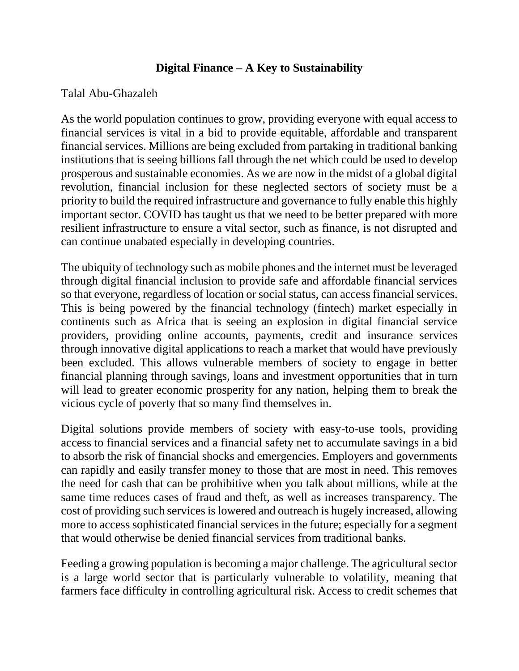## **Digital Finance – A Key to Sustainability**

## Talal Abu-Ghazaleh

As the world population continues to grow, providing everyone with equal access to financial services is vital in a bid to provide equitable, affordable and transparent financial services. Millions are being excluded from partaking in traditional banking institutions that is seeing billions fall through the net which could be used to develop prosperous and sustainable economies. As we are now in the midst of a global digital revolution, financial inclusion for these neglected sectors of society must be a priority to build the required infrastructure and governance to fully enable this highly important sector. COVID has taught us that we need to be better prepared with more resilient infrastructure to ensure a vital sector, such as finance, is not disrupted and can continue unabated especially in developing countries.

The ubiquity of technology such as mobile phones and the internet must be leveraged through digital financial inclusion to provide safe and affordable financial services so that everyone, regardless of location or social status, can access financial services. This is being powered by the financial technology (fintech) market especially in continents such as Africa that is seeing an explosion in digital financial service providers, providing online accounts, payments, credit and insurance services through innovative digital applications to reach a market that would have previously been excluded. This allows vulnerable members of society to engage in better financial planning through savings, loans and investment opportunities that in turn will lead to greater economic prosperity for any nation, helping them to break the vicious cycle of poverty that so many find themselves in.

Digital solutions provide members of society with easy-to-use tools, providing access to financial services and a financial safety net to accumulate savings in a bid to absorb the risk of financial shocks and emergencies. Employers and governments can rapidly and easily transfer money to those that are most in need. This removes the need for cash that can be prohibitive when you talk about millions, while at the same time reduces cases of fraud and theft, as well as increases transparency. The cost of providing such services is lowered and outreach is hugely increased, allowing more to access sophisticated financial services in the future; especially for a segment that would otherwise be denied financial services from traditional banks.

Feeding a growing population is becoming a major challenge. The agricultural sector is a large world sector that is particularly vulnerable to volatility, meaning that farmers face difficulty in controlling agricultural risk. Access to credit schemes that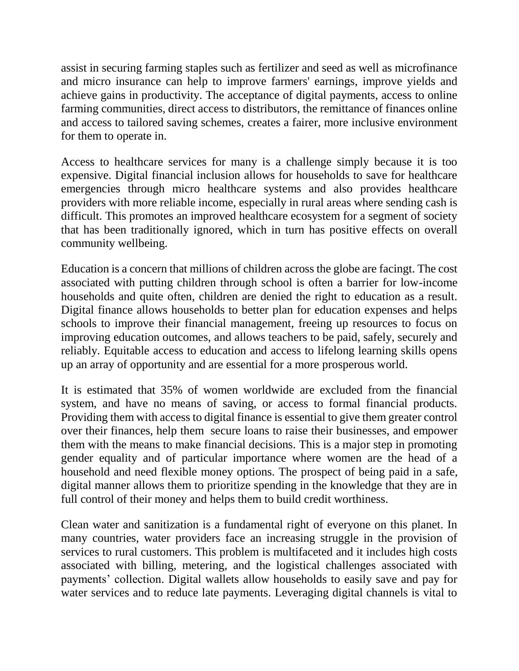assist in securing farming staples such as fertilizer and seed as well as microfinance and micro insurance can help to improve farmers' earnings, improve yields and achieve gains in productivity. The acceptance of digital payments, access to online farming communities, direct access to distributors, the remittance of finances online and access to tailored saving schemes, creates a fairer, more inclusive environment for them to operate in.

Access to healthcare services for many is a challenge simply because it is too expensive. Digital financial inclusion allows for households to save for healthcare emergencies through micro healthcare systems and also provides healthcare providers with more reliable income, especially in rural areas where sending cash is difficult. This promotes an improved healthcare ecosystem for a segment of society that has been traditionally ignored, which in turn has positive effects on overall community wellbeing.

Education is a concern that millions of children across the globe are facingt. The cost associated with putting children through school is often a barrier for low-income households and quite often, children are denied the right to education as a result. Digital finance allows households to better plan for education expenses and helps schools to improve their financial management, freeing up resources to focus on improving education outcomes, and allows teachers to be paid, safely, securely and reliably. Equitable access to education and access to lifelong learning skills opens up an array of opportunity and are essential for a more prosperous world.

It is estimated that 35% of women worldwide are excluded from the financial system, and have no means of saving, or access to formal financial products. Providing them with access to digital finance is essential to give them greater control over their finances, help them secure loans to raise their businesses, and empower them with the means to make financial decisions. This is a major step in promoting gender equality and of particular importance where women are the head of a household and need flexible money options. The prospect of being paid in a safe, digital manner allows them to prioritize spending in the knowledge that they are in full control of their money and helps them to build credit worthiness.

Clean water and sanitization is a fundamental right of everyone on this planet. In many countries, water providers face an increasing struggle in the provision of services to rural customers. This problem is multifaceted and it includes high costs associated with billing, metering, and the logistical challenges associated with payments' collection. Digital wallets allow households to easily save and pay for water services and to reduce late payments. Leveraging digital channels is vital to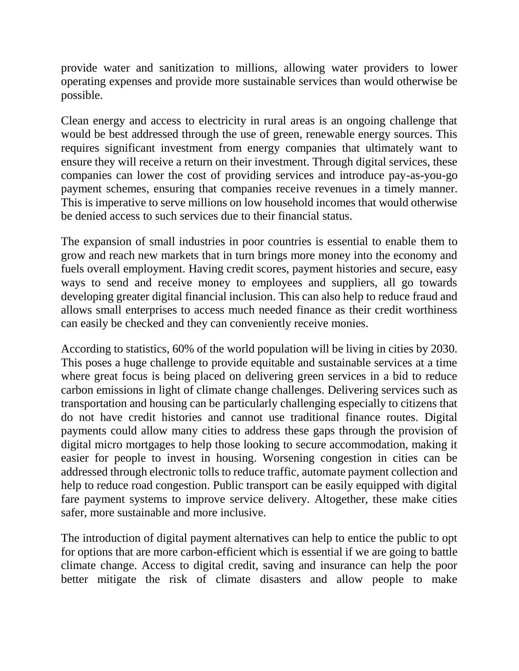provide water and sanitization to millions, allowing water providers to lower operating expenses and provide more sustainable services than would otherwise be possible.

Clean energy and access to electricity in rural areas is an ongoing challenge that would be best addressed through the use of green, renewable energy sources. This requires significant investment from energy companies that ultimately want to ensure they will receive a return on their investment. Through digital services, these companies can lower the cost of providing services and introduce pay-as-you-go payment schemes, ensuring that companies receive revenues in a timely manner. This is imperative to serve millions on low household incomes that would otherwise be denied access to such services due to their financial status.

The expansion of small industries in poor countries is essential to enable them to grow and reach new markets that in turn brings more money into the economy and fuels overall employment. Having credit scores, payment histories and secure, easy ways to send and receive money to employees and suppliers, all go towards developing greater digital financial inclusion. This can also help to reduce fraud and allows small enterprises to access much needed finance as their credit worthiness can easily be checked and they can conveniently receive monies.

According to statistics, 60% of the world population will be living in cities by 2030. This poses a huge challenge to provide equitable and sustainable services at a time where great focus is being placed on delivering green services in a bid to reduce carbon emissions in light of climate change challenges. Delivering services such as transportation and housing can be particularly challenging especially to citizens that do not have credit histories and cannot use traditional finance routes. Digital payments could allow many cities to address these gaps through the provision of digital micro mortgages to help those looking to secure accommodation, making it easier for people to invest in housing. Worsening congestion in cities can be addressed through electronic tolls to reduce traffic, automate payment collection and help to reduce road congestion. Public transport can be easily equipped with digital fare payment systems to improve service delivery. Altogether, these make cities safer, more sustainable and more inclusive.

The introduction of digital payment alternatives can help to entice the public to opt for options that are more carbon-efficient which is essential if we are going to battle climate change. Access to digital credit, saving and insurance can help the poor better mitigate the risk of climate disasters and allow people to make